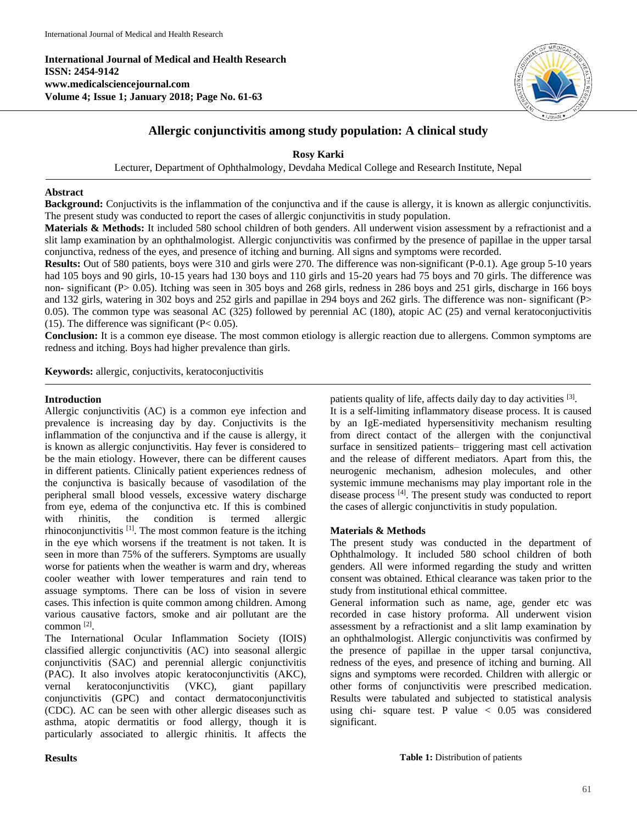**International Journal of Medical and Health Research ISSN: 2454-9142 www.medicalsciencejournal.com Volume 4; Issue 1; January 2018; Page No. 61-63**



# **Allergic conjunctivitis among study population: A clinical study**

**Rosy Karki**

Lecturer, Department of Ophthalmology, Devdaha Medical College and Research Institute, Nepal

## **Abstract**

**Background:** Conjuctivits is the inflammation of the conjunctiva and if the cause is allergy, it is known as allergic conjunctivitis. The present study was conducted to report the cases of allergic conjunctivitis in study population.

**Materials & Methods:** It included 580 school children of both genders. All underwent vision assessment by a refractionist and a slit lamp examination by an ophthalmologist. Allergic conjunctivitis was confirmed by the presence of papillae in the upper tarsal conjunctiva, redness of the eyes, and presence of itching and burning. All signs and symptoms were recorded.

Results: Out of 580 patients, boys were 310 and girls were 270. The difference was non-significant (P-0.1). Age group 5-10 years had 105 boys and 90 girls, 10-15 years had 130 boys and 110 girls and 15-20 years had 75 boys and 70 girls. The difference was non- significant (P> 0.05). Itching was seen in 305 boys and 268 girls, redness in 286 boys and 251 girls, discharge in 166 boys and 132 girls, watering in 302 boys and 252 girls and papillae in 294 boys and 262 girls. The difference was non- significant (P> 0.05). The common type was seasonal AC (325) followed by perennial AC (180), atopic AC (25) and vernal keratoconjuctivitis (15). The difference was significant  $(P< 0.05)$ .

**Conclusion:** It is a common eye disease. The most common etiology is allergic reaction due to allergens. Common symptoms are redness and itching. Boys had higher prevalence than girls.

**Keywords:** allergic, conjuctivits, keratoconjuctivitis

#### **Introduction**

Allergic conjunctivitis (AC) is a common eye infection and prevalence is increasing day by day. Conjuctivits is the inflammation of the conjunctiva and if the cause is allergy, it is known as allergic conjunctivitis. Hay fever is considered to be the main etiology. However, there can be different causes in different patients. Clinically patient experiences redness of the conjunctiva is basically because of vasodilation of the peripheral small blood vessels, excessive watery discharge from eye, edema of the conjunctiva etc. If this is combined with rhinitis, the condition is termed allergic rhinoconjunctivitis<sup>[1]</sup>. The most common feature is the itching in the eye which worsens if the treatment is not taken. It is seen in more than 75% of the sufferers. Symptoms are usually worse for patients when the weather is warm and dry, whereas cooler weather with lower temperatures and rain tend to assuage symptoms. There can be loss of vision in severe cases. This infection is quite common among children. Among various causative factors, smoke and air pollutant are the common<sup>[2]</sup>.

The International Ocular Inflammation Society (IOIS) classified allergic conjunctivitis (AC) into seasonal allergic conjunctivitis (SAC) and perennial allergic conjunctivitis (PAC). It also involves atopic keratoconjunctivitis (AKC), vernal keratoconjunctivitis (VKC), giant papillary conjunctivitis (GPC) and contact dermatoconjunctivitis (CDC). AC can be seen with other allergic diseases such as asthma, atopic dermatitis or food allergy, though it is particularly associated to allergic rhinitis. It affects the patients quality of life, affects daily day to day activities [3].

It is a self-limiting inflammatory disease process. It is caused by an IgE-mediated hypersensitivity mechanism resulting from direct contact of the allergen with the conjunctival surface in sensitized patients– triggering mast cell activation and the release of different mediators. Apart from this, the neurogenic mechanism, adhesion molecules, and other systemic immune mechanisms may play important role in the disease process [4] . The present study was conducted to report the cases of allergic conjunctivitis in study population.

## **Materials & Methods**

The present study was conducted in the department of Ophthalmology. It included 580 school children of both genders. All were informed regarding the study and written consent was obtained. Ethical clearance was taken prior to the study from institutional ethical committee.

General information such as name, age, gender etc was recorded in case history proforma. All underwent vision assessment by a refractionist and a slit lamp examination by an ophthalmologist. Allergic conjunctivitis was confirmed by the presence of papillae in the upper tarsal conjunctiva, redness of the eyes, and presence of itching and burning. All signs and symptoms were recorded. Children with allergic or other forms of conjunctivitis were prescribed medication. Results were tabulated and subjected to statistical analysis using chi- square test. P value  $< 0.05$  was considered significant.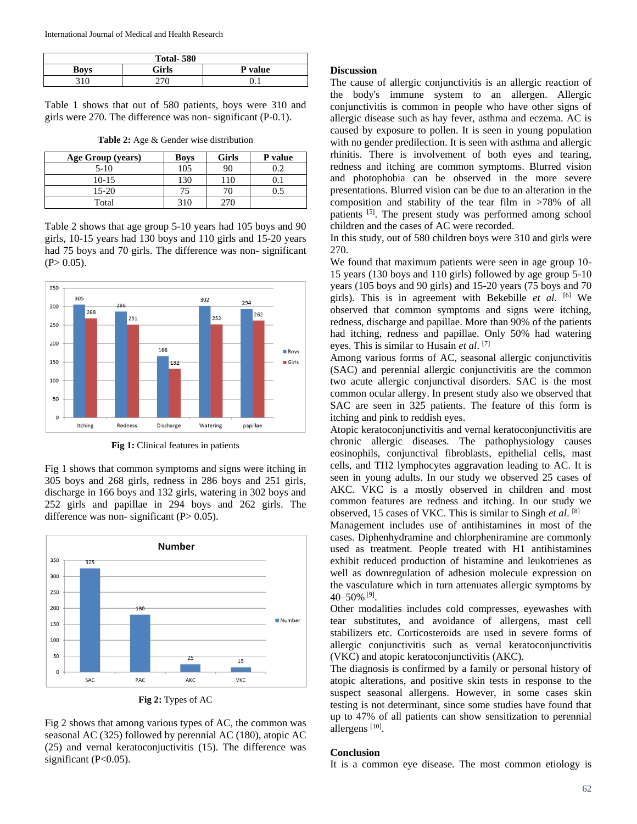| <b>Total-580</b> |       |                |  |  |
|------------------|-------|----------------|--|--|
| <b>Boys</b>      | Girls | <b>P</b> value |  |  |
| 21 C             |       |                |  |  |

Table 1 shows that out of 580 patients, boys were 310 and girls were 270. The difference was non- significant (P-0.1).

| Age Group (years) | <b>Boys</b> | <b>Girls</b> | P value |
|-------------------|-------------|--------------|---------|
| $5-10$            | 105         | 90           |         |
| $10 - 15$         | 130         | 110          |         |
| $15 - 20$         | 75          | 70           |         |
| Total             | 310         | ን7በ          |         |

Table 2 shows that age group 5-10 years had 105 boys and 90 girls, 10-15 years had 130 boys and 110 girls and 15-20 years had 75 boys and 70 girls. The difference was non-significant  $(P> 0.05)$ .



**Fig 1:** Clinical features in patients

Fig 1 shows that common symptoms and signs were itching in 305 boys and 268 girls, redness in 286 boys and 251 girls, discharge in 166 boys and 132 girls, watering in 302 boys and 252 girls and papillae in 294 boys and 262 girls. The difference was non- significant  $(P> 0.05)$ .



Fig 2 shows that among various types of AC, the common was seasonal AC (325) followed by perennial AC (180), atopic AC (25) and vernal keratoconjuctivitis (15). The difference was significant  $(P<0.05)$ .

#### **Discussion**

The cause of allergic conjunctivitis is an allergic reaction of the body's immune system to an allergen. Allergic conjunctivitis is common in people who have other signs of allergic disease such as hay fever, asthma and eczema. AC is caused by exposure to pollen. It is seen in young population with no gender predilection. It is seen with asthma and allergic rhinitis. There is involvement of both eyes and tearing, redness and itching are common symptoms. Blurred vision and photophobia can be observed in the more severe presentations. Blurred vision can be due to an alteration in the composition and stability of the tear film in >78% of all patients <sup>[5]</sup>. The present study was performed among school children and the cases of AC were recorded.

In this study, out of 580 children boys were 310 and girls were 270.

We found that maximum patients were seen in age group 10- 15 years (130 boys and 110 girls) followed by age group 5-10 years (105 boys and 90 girls) and 15-20 years (75 boys and 70 girls). This is in agreement with Bekebille *et al*. [6] We observed that common symptoms and signs were itching, redness, discharge and papillae. More than 90% of the patients had itching, redness and papillae. Only 50% had watering eyes. This is similar to Husain *et al*. [7]

Among various forms of AC, seasonal allergic conjunctivitis (SAC) and perennial allergic conjunctivitis are the common two acute allergic conjunctival disorders. SAC is the most common ocular allergy. In present study also we observed that SAC are seen in 325 patients. The feature of this form is itching and pink to reddish eyes.

Atopic keratoconjunctivitis and vernal keratoconjunctivitis are chronic allergic diseases. The pathophysiology causes eosinophils, conjunctival fibroblasts, epithelial cells, mast cells, and TH2 lymphocytes aggravation leading to AC. It is seen in young adults. In our study we observed 25 cases of AKC. VKC is a mostly observed in children and most common features are redness and itching. In our study we observed, 15 cases of VKC. This is similar to Singh *et al*. [8]

Management includes use of antihistamines in most of the cases. Diphenhydramine and chlorpheniramine are commonly used as treatment. People treated with H1 antihistamines exhibit reduced production of histamine and leukotrienes as well as downregulation of adhesion molecule expression on the vasculature which in turn attenuates allergic symptoms by 40–50% [9] .

Other modalities includes cold compresses, eyewashes with tear substitutes, and avoidance of allergens, mast cell stabilizers etc. Corticosteroids are used in severe forms of allergic conjunctivitis such as vernal keratoconjunctivitis (VKC) and atopic keratoconjunctivitis (AKC).

The diagnosis is confirmed by a family or personal history of atopic alterations, and positive skin tests in response to the suspect seasonal allergens. However, in some cases skin testing is not determinant, since some studies have found that up to 47% of all patients can show sensitization to perennial allergens<sup>[10]</sup>.

#### **Conclusion**

It is a common eye disease. The most common etiology is